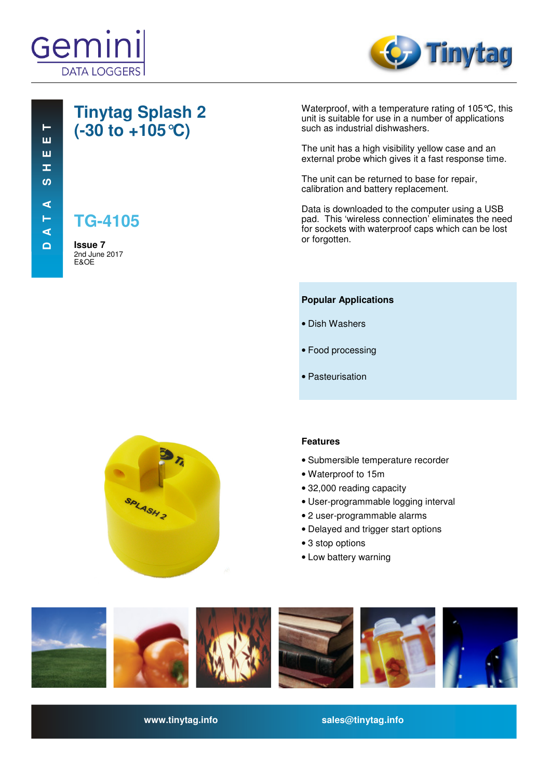



# **Tinytag Splash 2 (-30 to +105°C)**

**TG-4105**

**Issue 7**  2nd June 2017 E&OE

Waterproof, with a temperature rating of 105°C, this unit is suitable for use in a number of applications such as industrial dishwashers.

The unit has a high visibility yellow case and an external probe which gives it a fast response time.

The unit can be returned to base for repair, calibration and battery replacement.

Data is downloaded to the computer using a USB pad. This 'wireless connection' eliminates the need for sockets with waterproof caps which can be lost or forgotten.

#### **Popular Applications**

- Dish Washers
- Food processing
- Pasteurisation



### **Features**

- Submersible temperature recorder
- Waterproof to 15m
- 32,000 reading capacity
- User-programmable logging interval
- 2 user-programmable alarms
- Delayed and trigger start options
- 3 stop options
- Low battery warning



**www.tinytag.info sales@tinytag.info**